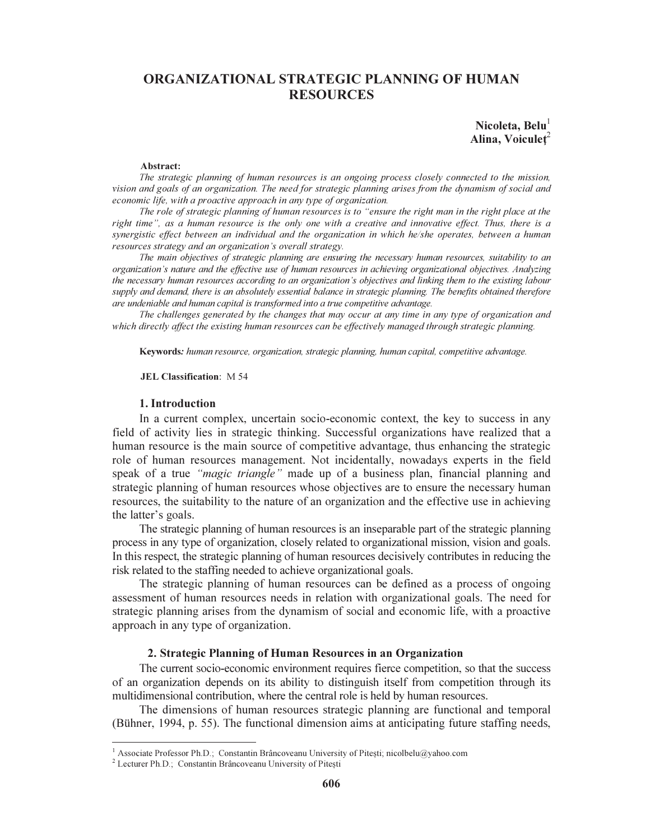# ORGANIZATIONAL STRATEGIC PLANNING OF HUMAN **RESOURCES**

Nicoleta,  $Belu<sup>1</sup>$ Alina, Voiculet $^2$ 

#### Abstract:

The strategic planning of human resources is an ongoing process closely connected to the mission, vision and goals of an organization. The need for strategic planning arises from the dynamism of social and economic life, with a proactive approach in any type of organization.

The role of strategic planning of human resources is to "ensure the right man in the right place at the right time", as a human resource is the only one with a creative and innovative effect. Thus, there is a synergistic effect between an individual and the organization in which he/she operates, between a human resources strategy and an organization's overall strategy.

The main objectives of strategic planning are ensuring the necessary human resources, suitability to an organization's nature and the effective use of human resources in achieving organizational objectives. Analyzing the necessary human resources according to an organization's objectives and linking them to the existing labour supply and demand, there is an absolutely essential balance in strategic planning. The benefits obtained therefore are undeniable and human capital is transformed into a true competitive advantage.

The challenges generated by the changes that may occur at any time in any type of organization and which directly affect the existing human resources can be effectively managed through strategic planning.

Keywords: human resource, organization, strategic planning, human capital, competitive advantage.

#### JEL Classification: M 54

#### 1. Introduction

In a current complex, uncertain socio-economic context, the key to success in any field of activity lies in strategic thinking. Successful organizations have realized that a human resource is the main source of competitive advantage, thus enhancing the strategic role of human resources management. Not incidentally, nowadays experts in the field speak of a true "*magic triangle*" made up of a business plan, financial planning and strategic planning of human resources whose objectives are to ensure the necessary human resources, the suitability to the nature of an organization and the effective use in achieving the latter's goals.

The strategic planning of human resources is an inseparable part of the strategic planning process in any type of organization, closely related to organizational mission, vision and goals. In this respect, the strategic planning of human resources decisively contributes in reducing the risk related to the staffing needed to achieve organizational goals.

The strategic planning of human resources can be defined as a process of ongoing assessment of human resources needs in relation with organizational goals. The need for strategic planning arises from the dynamism of social and economic life, with a proactive approach in any type of organization.

## 2. Strategic Planning of Human Resources in an Organization

The current socio-economic environment requires fierce competition, so that the success of an organization depends on its ability to distinguish itself from competition through its multidimensional contribution, where the central role is held by human resources.

The dimensions of human resources strategic planning are functional and temporal (Bühner, 1994, p. 55). The functional dimension aims at anticipating future staffing needs,

<sup>&</sup>lt;sup>1</sup> Associate Professor Ph.D.; Constantin Brâncoveanu University of Pitești; nicolbelu@yahoo.com

<sup>2</sup> Lecturer Ph.D.; Constantin Brâncoveanu University of Pitești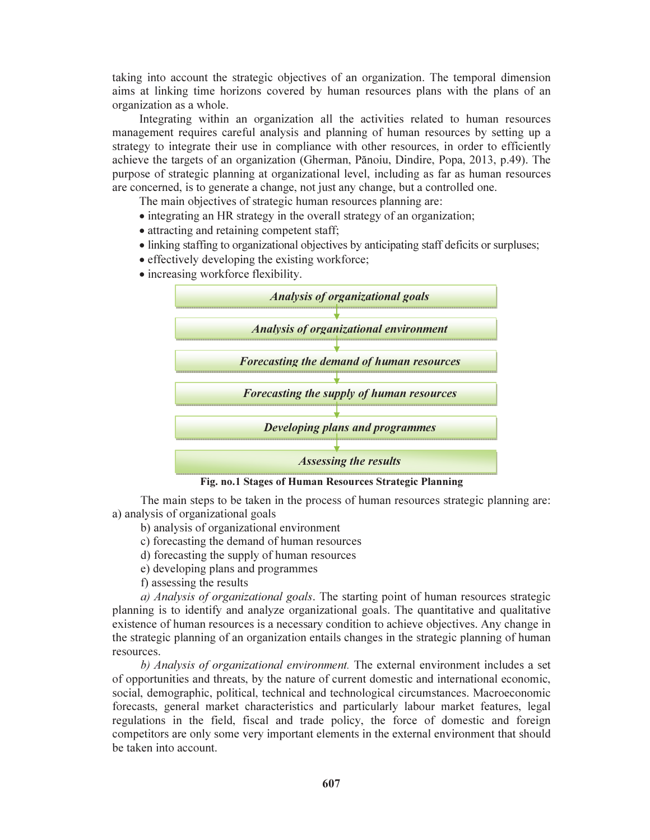taking into account the strategic objectives of an organization. The temporal dimension aims at linking time horizons covered by human resources plans with the plans of an organization as a whole.

Integrating within an organization all the activities related to human resources management requires careful analysis and planning of human resources by setting up a strategy to integrate their use in compliance with other resources, in order to efficiently achieve the targets of an organization (Gherman, Pănoiu, Dindire, Popa, 2013, p.49). The purpose of strategic planning at organizational level, including as far as human resources are concerned, is to generate a change, not just any change, but a controlled one.

The main objectives of strategic human resources planning are:

- integrating an HR strategy in the overall strategy of an organization;
- attracting and retaining competent staff;
- linking staffing to organizational objectives by anticipating staff deficits or surpluses;
- effectively developing the existing workforce;
- increasing workforce flexibility.



Fig. no.1 Stages of Human Resources Strategic Planning

The main steps to be taken in the process of human resources strategic planning are: a) analysis of organizational goals

- b) analysis of organizational environment
- c) forecasting the demand of human resources
- d) forecasting the supply of human resources
- e) developing plans and programmes
- f) assessing the results

a) Analysis of organizational goals. The starting point of human resources strategic planning is to identify and analyze organizational goals. The quantitative and qualitative existence of human resources is a necessary condition to achieve objectives. Any change in the strategic planning of an organization entails changes in the strategic planning of human resources.

b) Analysis of organizational environment. The external environment includes a set of opportunities and threats, by the nature of current domestic and international economic, social, demographic, political, technical and technological circumstances. Macroeconomic forecasts, general market characteristics and particularly labour market features, legal regulations in the field, fiscal and trade policy, the force of domestic and foreign competitors are only some very important elements in the external environment that should be taken into account.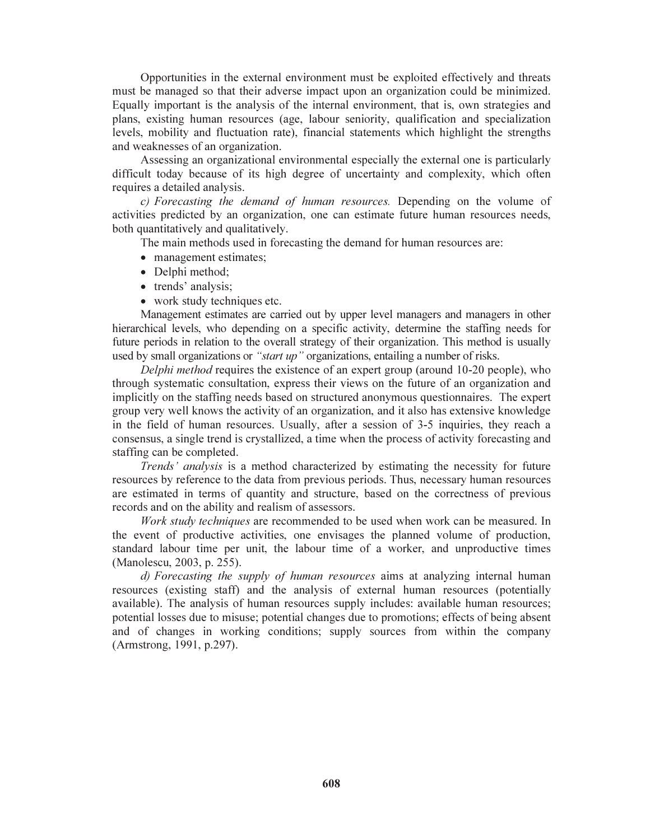Opportunities in the external environment must be exploited effectively and threats must be managed so that their adverse impact upon an organization could be minimized. Equally important is the analysis of the internal environment, that is, own strategies and plans, existing human resources (age, labour seniority, qualification and specialization levels, mobility and fluctuation rate), financial statements which highlight the strengths and weaknesses of an organization.

Assessing an organizational environmental especially the external one is particularly difficult today because of its high degree of uncertainty and complexity, which often requires a detailed analysis.

c) Forecasting the demand of human resources. Depending on the volume of activities predicted by an organization, one can estimate future human resources needs, both quantitatively and qualitatively.

The main methods used in forecasting the demand for human resources are:

- management estimates;
- Delphi method;
- trends' analysis;
- work study techniques etc.

Management estimates are carried out by upper level managers and managers in other hierarchical levels, who depending on a specific activity, determine the staffing needs for future periods in relation to the overall strategy of their organization. This method is usually used by small organizations or "*start up*" organizations, entailing a number of risks.

Delphi method requires the existence of an expert group (around 10-20 people), who through systematic consultation, express their views on the future of an organization and implicitly on the staffing needs based on structured anonymous questionnaires. The expert group very well knows the activity of an organization, and it also has extensive knowledge in the field of human resources. Usually, after a session of 3-5 inquiries, they reach a consensus, a single trend is crystallized, a time when the process of activity forecasting and staffing can be completed.

Trends' analysis is a method characterized by estimating the necessity for future resources by reference to the data from previous periods. Thus, necessary human resources are estimated in terms of quantity and structure, based on the correctness of previous records and on the ability and realism of assessors.

Work study techniques are recommended to be used when work can be measured. In the event of productive activities, one envisages the planned volume of production, standard labour time per unit, the labour time of a worker, and unproductive times (Manolescu, 2003, p. 255).

d) Forecasting the supply of human resources aims at analyzing internal human resources (existing staff) and the analysis of external human resources (potentially available). The analysis of human resources supply includes: available human resources; potential losses due to misuse; potential changes due to promotions; effects of being absent and of changes in working conditions; supply sources from within the company (Armstrong, 1991, p.297).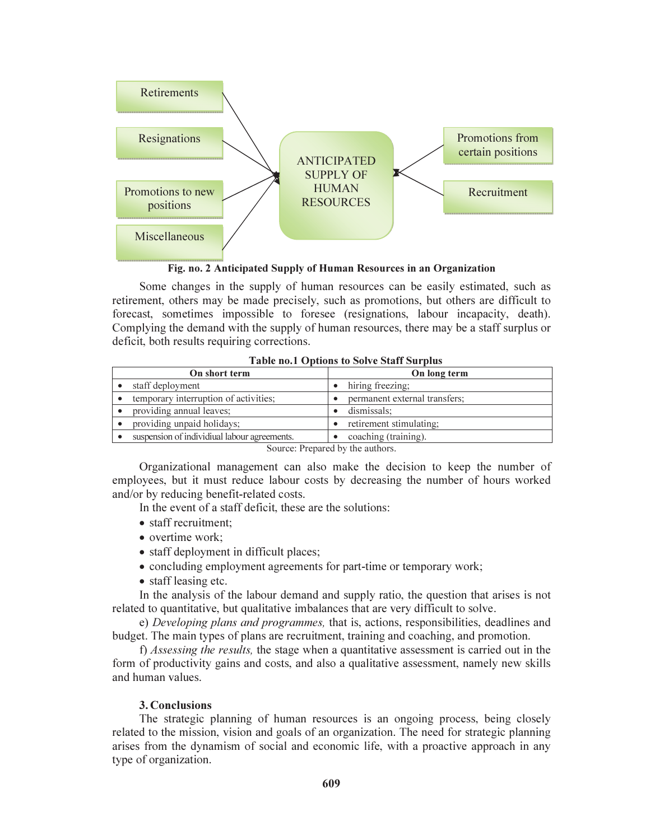

Fig. no. 2 Anticipated Supply of Human Resources in an Organization

Some changes in the supply of human resources can be easily estimated, such as retirement, others may be made precisely, such as promotions, but others are difficult to forecast, sometimes impossible to foresee (resignations, labour incapacity, death). Complying the demand with the supply of human resources, there may be a staff surplus or deficit, both results requiring corrections.

| THEIR HOLD OPERATORS TO DOIT COMMIT DUI PLUS |                               |
|----------------------------------------------|-------------------------------|
| On short term                                | On long term                  |
| staff deployment                             | hiring freezing;              |
| temporary interruption of activities;        | permanent external transfers; |
| providing annual leaves:                     | dismissals:                   |
| providing unpaid holidays;                   | retirement stimulating:       |
| suspension of individiual labour agreements. | coaching (training).          |

Table no.1 Options to Solve Staff Surplus

Source: Prepared by the authors.

Organizational management can also make the decision to keep the number of employees, but it must reduce labour costs by decreasing the number of hours worked and/or by reducing benefit-related costs.

In the event of a staff deficit, these are the solutions:

- staff recruitment:
- overtime work;
- staff deployment in difficult places;
- concluding employment agreements for part-time or temporary work;
- staff leasing etc.

In the analysis of the labour demand and supply ratio, the question that arises is not related to quantitative, but qualitative imbalances that are very difficult to solve.

e) Developing plans and programmes, that is, actions, responsibilities, deadlines and budget. The main types of plans are recruitment, training and coaching, and promotion.

f) Assessing the results, the stage when a quantitative assessment is carried out in the form of productivity gains and costs, and also a qualitative assessment, namely new skills and human values.

### 3. Conclusions

The strategic planning of human resources is an ongoing process, being closely related to the mission, vision and goals of an organization. The need for strategic planning arises from the dynamism of social and economic life, with a proactive approach in any type of organization.